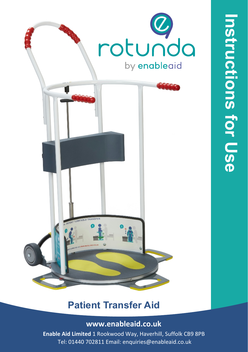

## **Patient Transfer Aid**

#### **www.enableaid.co.uk**

**Enable Aid Limited** 1 Rookwood Way, Haverhill, Suffolk CB9 8PB Tel: 01440 702811 Email: enquiries@enableaid.co.uk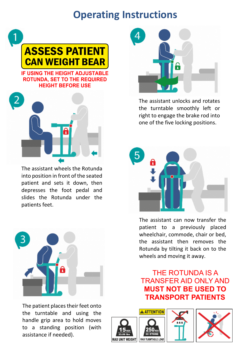# **Operating Instructions**



**ROTUNDA, SET TO THE REQUIRED HEIGHT BEFORE USE**



The assistant wheels the Rotunda into position in front of the seated patient and sets it down, then depresses the foot pedal and slides the Rotunda under the patients feet.



The patient places their feet onto the turntable and using the handle grip area to hold moves to a standing position (with assistance if needed).



The assistant unlocks and rotates the turntable smoothly left or right to engage the brake rod into one of the five locking positions.



The assistant can now transfer the patient to a previously placed wheelchair, commode, chair or bed, the assistant then removes the Rotunda by tilting it back on to the wheels and moving it away.

THE ROTUNDA IS A TRANSFER AID ONLY AND **MUST NOT BE USED TO TRANSPORT PATIENTS**





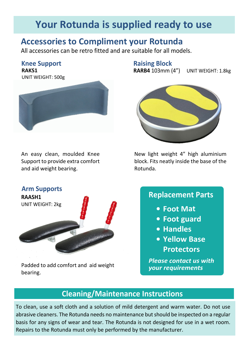## **Your Rotunda is supplied ready to use**

### **Accessories to Compliment your Rotunda**

All accessories can be retro fitted and are suitable for all models.

**Knee Support**

**RAKS1** UNIT WEIGHT: 500g



An easy clean, moulded Knee Support to provide extra comfort and aid weight bearing.



Padded to add comfort and aid weight bearing.

**Raising Block**

**RARB4** 103mm (4") UNIT WEIGHT: 1.8kg



New light weight 4" high aluminium block. Fits neatly inside the base of the Rotunda.

#### **Replacement Parts**

- **Foot Mat**
- **Foot guard**
- **Handles**
- **Yellow Base Protectors**

*Please contact us with*

### **Cleaning/Maintenance Instructions**

To clean, use a soft cloth and a solution of mild detergent and warm water. Do not use abrasive cleaners. The Rotunda needs no maintenance but should be inspected on a regular basis for any signs of wear and tear. The Rotunda is not designed for use in a wet room. Repairs to the Rotunda must only be performed by the manufacturer.